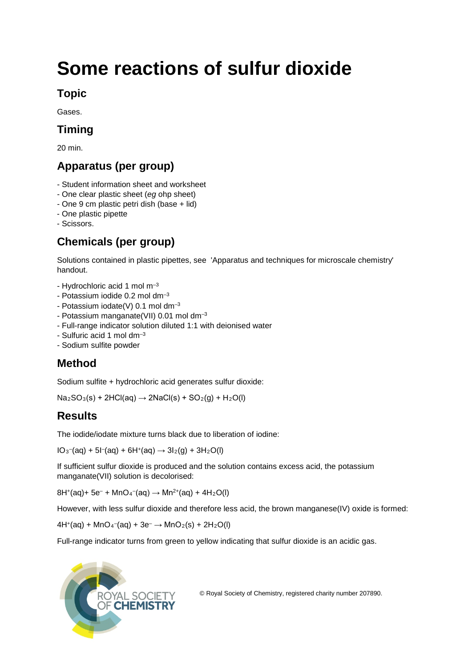# **Some reactions of sulfur dioxide**

#### **Topic**

Gases.

## **Timing**

20 min.

## **Apparatus (per group)**

- Student information sheet and worksheet
- One clear plastic sheet (*eg* ohp sheet)
- One 9 cm plastic petri dish (base + lid)
- One plastic pipette
- Scissors.

## **Chemicals (per group)**

Solutions contained in plastic pipettes, see 'Apparatus and techniques for microscale chemistry' handout.

- Hydrochloric acid 1 mol m–3
- Potassium iodide  $0.2$  mol dm<sup>-3</sup>
- Potassium iodate(V)  $0.1$  mol dm<sup>-3</sup>
- Potassium manganate(VII) 0.01 mol dm–3
- Full-range indicator solution diluted 1:1 with deionised water
- Sulfuric acid 1 mol dm $<sup>-3</sup>$ </sup>
- Sodium sulfite powder

## **Method**

Sodium sulfite + hydrochloric acid generates sulfur dioxide:

 $Na<sub>2</sub>SO<sub>3</sub>(s) + 2HCl(aq) \rightarrow 2NaCl(s) + SO<sub>2</sub>(q) + H<sub>2</sub>O(l)$ 

## **Results**

The iodide/iodate mixture turns black due to liberation of iodine:

 $IO_3^-$ (aq) + 5 $I^-$ (aq) + 6H<sup>+</sup>(aq)  $\rightarrow$  3 $I_2$ (g) + 3H<sub>2</sub>O(l)

If sufficient sulfur dioxide is produced and the solution contains excess acid, the potassium manganate(VII) solution is decolorised:

 $8H^{+}(aq) + 5e^{-} + MnO_{4}^{-}(aq) \rightarrow Mn^{2+}(aq) + 4H_{2}O(l)$ 

However, with less sulfur dioxide and therefore less acid, the brown manganese(IV) oxide is formed:

 $4H^{+}(aq) + MnO_{4}^{-}(aq) + 3e^{-} \rightarrow MnO_{2}(s) + 2H_{2}O(l)$ 

Full-range indicator turns from green to yellow indicating that sulfur dioxide is an acidic gas.



© Royal Society of Chemistry, registered charity number 207890.